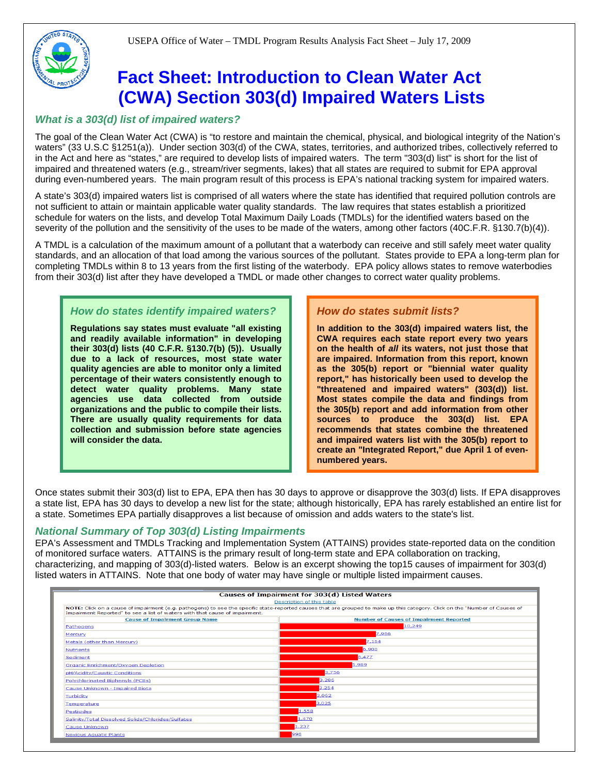# **Fact Sheet: Introduction to Clean Water Act (CWA) Section 303(d) Impaired Waters Lists**

# *What is a 303(d) list of impaired waters?*

The goal of the Clean Water Act (CWA) is "to restore and maintain the chemical, physical, and biological integrity of the Nation's waters" (33 U.S.C §1251(a)). Under section 303(d) of the CWA, states, territories, and authorized tribes, collectively referred to in the Act and here as "states," are required to develop lists of impaired waters. The term "303(d) list" is short for the list of impaired and threatened waters (e.g., stream/river segments, lakes) that all states are required to submit for EPA approval during even-numbered years. The main program result of this process is EPA's national tracking system for impaired waters.

A state's 303(d) impaired waters list is comprised of all waters where the state has identified that required pollution controls are not sufficient to attain or maintain applicable water quality standards. The law requires that states establish a prioritized schedule for waters on the lists, and develop Total Maximum Daily Loads (TMDLs) for the identified waters based on the severity of the pollution and the sensitivity of the uses to be made of the waters, among other factors (40C.F.R. §130.7(b)(4)).

A TMDL is a calculation of the maximum amount of a pollutant that a waterbody can receive and still safely meet water quality standards, and an allocation of that load among the various sources of the pollutant. States provide to EPA a long-term plan for completing TMDLs within 8 to 13 years from the first listing of the waterbody. EPA policy allows states to remove waterbodies from their 303(d) list after they have developed a TMDL or made other changes to correct water quality problems.

# *How do states identify impaired waters?*

**Regulations say states must evaluate "all existing and readily available information" in developing their 303(d) lists (40 C.F.R. §130.7(b) (5)). Usually due to a lack of resources, most state water quality agencies are able to monitor only a limited percentage of their waters consistently enough to detect water quality problems. Many state agencies use data collected from outside organizations and the public to compile their lists. There are usually quality requirements for data collection and submission before state agencies will consider the data.** 

## **How do states submit lists?**

**In addition to the 303(d) impaired waters list, the CWA requires each state report every two years on the health of** *all* **its waters, not just those that are impaired. Information from this report, known as the 305(b) report or "biennial water quality report," has historically been used to develop the "threatened and impaired waters" (303(d)) list. Most states compile the data and findings from the 305(b) report and add information from other sources to produce the 303(d) list. EPA recommends that states combine the threatened and impaired waters list with the 305(b) report to create an "Integrated Report," due April 1 of evennumbered years.** 

Once states submit their 303(d) list to EPA, EPA then has 30 days to approve or disapprove the 303(d) lists. If EPA disapproves a state list, EPA has 30 days to develop a new list for the state; although historically, EPA has rarely established an entire list for a state. Sometimes EPA partially disapproves a list because of omission and adds waters to the state's list.

## *National Summary of Top 303(d) Listing Impairments*

EPA's Assessment and TMDLs Tracking and Implementation System (ATTAINS) provides state-reported data on the condition of monitored surface waters. ATTAINS is the primary result of long-term state and EPA collaboration on tracking, characterizing, and mapping of 303(d)-listed waters. Below is an excerpt showing the top15 causes of impairment for 303(d) listed waters in ATTAINS. Note that one body of water may have single or multiple listed impairment causes.